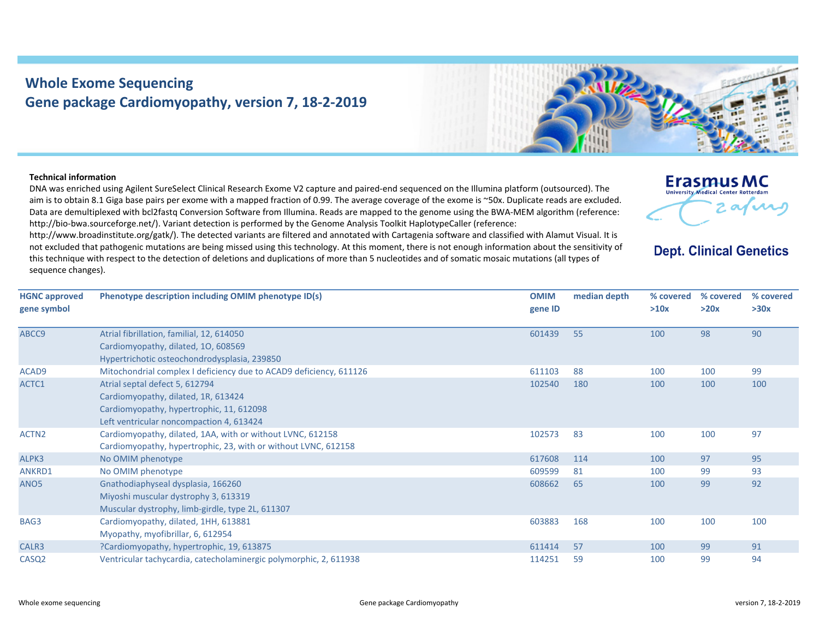## **Whole Exome Sequencing Gene package Cardiomyopathy, version 7, 18‐2‐2019**



## **Technical information**

DNA was enriched using Agilent SureSelect Clinical Research Exome V2 capture and paired‐end sequenced on the Illumina platform (outsourced). The aim is to obtain 8.1 Giga base pairs per exome with <sup>a</sup> mapped fraction of 0.99. The average coverage of the exome is ~50x. Duplicate reads are excluded. Data are demultiplexed with bcl2fastq Conversion Software from Illumina. Reads are mapped to the genome using the BWA‐MEM algorithm (reference: http://bio-bwa.sourceforge.net/). Variant detection is performed by the Genome Analysis Toolkit HaplotypeCaller (reference:

http://www.broadinstitute.org/gatk/). The detected variants are filtered and annotated with Cartagenia software and classified with Alamut Visual. It is not excluded that pathogenic mutations are being missed using this technology. At this moment, there is not enough information about the sensitivity of this technique with respect to the detection of deletions and duplications of more than 5 nucleotides and of somatic mosaic mutations (all types of sequence changes).

| <b>Erasmus MC</b>                          |  |
|--------------------------------------------|--|
| <b>University Medical Center Rotterdam</b> |  |
|                                            |  |
|                                            |  |

**Dept. Clinical Genetics** 

| <b>HGNC approved</b> | Phenotype description including OMIM phenotype ID(s)               | <b>OMIM</b> | median depth | % covered | % covered | % covered |
|----------------------|--------------------------------------------------------------------|-------------|--------------|-----------|-----------|-----------|
| gene symbol          |                                                                    | gene ID     |              | >10x      | >20x      | >30x      |
| ABCC9                | Atrial fibrillation, familial, 12, 614050                          | 601439      | 55           | 100       | 98        | 90        |
|                      | Cardiomyopathy, dilated, 10, 608569                                |             |              |           |           |           |
|                      | Hypertrichotic osteochondrodysplasia, 239850                       |             |              |           |           |           |
| ACAD9                | Mitochondrial complex I deficiency due to ACAD9 deficiency, 611126 | 611103      | 88           | 100       | 100       | 99        |
| ACTC1                | Atrial septal defect 5, 612794                                     | 102540      | 180          | 100       | 100       | 100       |
|                      | Cardiomyopathy, dilated, 1R, 613424                                |             |              |           |           |           |
|                      | Cardiomyopathy, hypertrophic, 11, 612098                           |             |              |           |           |           |
|                      | Left ventricular noncompaction 4, 613424                           |             |              |           |           |           |
| ACTN <sub>2</sub>    | Cardiomyopathy, dilated, 1AA, with or without LVNC, 612158         | 102573      | 83           | 100       | 100       | 97        |
|                      | Cardiomyopathy, hypertrophic, 23, with or without LVNC, 612158     |             |              |           |           |           |
| ALPK3                | No OMIM phenotype                                                  | 617608      | 114          | 100       | 97        | 95        |
| ANKRD1               | No OMIM phenotype                                                  | 609599      | 81           | 100       | 99        | 93        |
| ANO <sub>5</sub>     | Gnathodiaphyseal dysplasia, 166260                                 | 608662      | 65           | 100       | 99        | 92        |
|                      | Miyoshi muscular dystrophy 3, 613319                               |             |              |           |           |           |
|                      | Muscular dystrophy, limb-girdle, type 2L, 611307                   |             |              |           |           |           |
| BAG3                 | Cardiomyopathy, dilated, 1HH, 613881                               | 603883      | 168          | 100       | 100       | 100       |
|                      | Myopathy, myofibrillar, 6, 612954                                  |             |              |           |           |           |
| CALR3                | ?Cardiomyopathy, hypertrophic, 19, 613875                          | 611414      | 57           | 100       | 99        | 91        |
| CASQ <sub>2</sub>    | Ventricular tachycardia, catecholaminergic polymorphic, 2, 611938  | 114251      | 59           | 100       | 99        | 94        |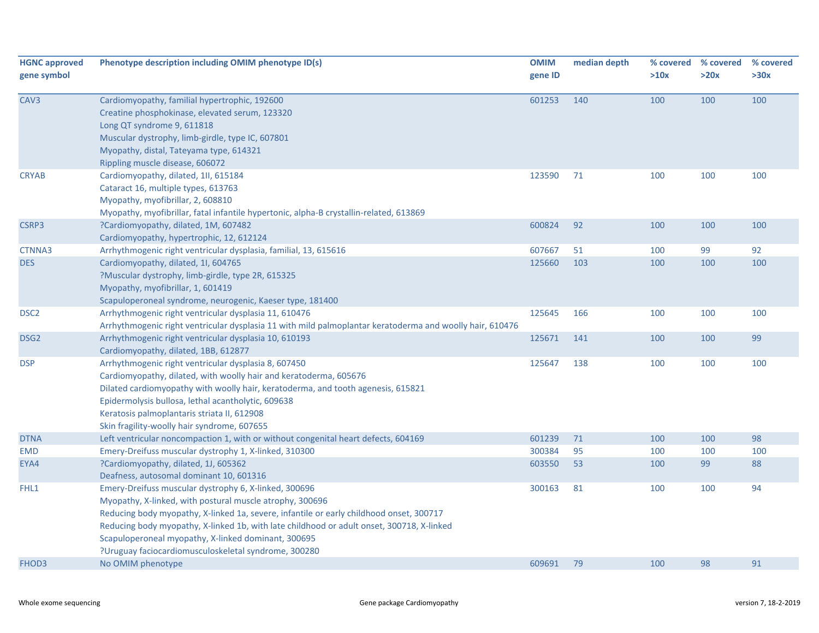| Cardiomyopathy, familial hypertrophic, 192600<br>601253<br>100<br>100<br>100<br>140<br>Creatine phosphokinase, elevated serum, 123320<br>Long QT syndrome 9, 611818<br>Muscular dystrophy, limb-girdle, type IC, 607801<br>Myopathy, distal, Tateyama type, 614321<br>Rippling muscle disease, 606072<br>123590<br>71<br>100<br>100<br>100<br>Cardiomyopathy, dilated, 1II, 615184<br>Cataract 16, multiple types, 613763<br>Myopathy, myofibrillar, 2, 608810<br>Myopathy, myofibrillar, fatal infantile hypertonic, alpha-B crystallin-related, 613869<br>600824<br>92<br>100<br>100<br>CSRP3<br>?Cardiomyopathy, dilated, 1M, 607482<br>100<br>Cardiomyopathy, hypertrophic, 12, 612124<br>92<br>Arrhythmogenic right ventricular dysplasia, familial, 13, 615616<br>607667<br>51<br>100<br>99<br>CTNNA3<br>100<br>100<br>100<br>Cardiomyopathy, dilated, 1I, 604765<br>125660<br>103<br>?Muscular dystrophy, limb-girdle, type 2R, 615325<br>Myopathy, myofibrillar, 1, 601419<br>Scapuloperoneal syndrome, neurogenic, Kaeser type, 181400<br>125645<br>166<br>100<br>100<br>DSC <sub>2</sub><br>Arrhythmogenic right ventricular dysplasia 11, 610476<br>100<br>Arrhythmogenic right ventricular dysplasia 11 with mild palmoplantar keratoderma and woolly hair, 610476<br>99<br>Arrhythmogenic right ventricular dysplasia 10, 610193<br>125671<br>141<br>100<br>DSG <sub>2</sub><br>100<br>Cardiomyopathy, dilated, 1BB, 612877<br>125647<br>138<br>100<br>100<br>100<br>Arrhythmogenic right ventricular dysplasia 8, 607450<br>Cardiomyopathy, dilated, with woolly hair and keratoderma, 605676<br>Dilated cardiomyopathy with woolly hair, keratoderma, and tooth agenesis, 615821<br>Epidermolysis bullosa, lethal acantholytic, 609638<br>Keratosis palmoplantaris striata II, 612908<br>Skin fragility-woolly hair syndrome, 607655<br>601239<br>100<br>98<br>Left ventricular noncompaction 1, with or without congenital heart defects, 604169<br>71<br>100<br>300384<br>Emery-Dreifuss muscular dystrophy 1, X-linked, 310300<br>95<br>100<br>100<br>100<br><b>EMD</b><br>53<br>99<br>88<br>?Cardiomyopathy, dilated, 1J, 605362<br>603550<br>100<br>EYA4<br>Deafness, autosomal dominant 10, 601316<br>94<br>FHL1<br>300163<br>81<br>100<br>100<br>Emery-Dreifuss muscular dystrophy 6, X-linked, 300696<br>Myopathy, X-linked, with postural muscle atrophy, 300696<br>Reducing body myopathy, X-linked 1a, severe, infantile or early childhood onset, 300717<br>Reducing body myopathy, X-linked 1b, with late childhood or adult onset, 300718, X-linked<br>Scapuloperoneal myopathy, X-linked dominant, 300695<br>?Uruguay faciocardiomusculoskeletal syndrome, 300280<br>609691<br>100<br>98<br>91<br>No OMIM phenotype<br>79 | <b>HGNC approved</b><br>gene symbol | Phenotype description including OMIM phenotype ID(s) | <b>OMIM</b><br>gene ID | median depth | % covered<br>>10x | % covered<br>>20x | % covered<br>>30x |
|---------------------------------------------------------------------------------------------------------------------------------------------------------------------------------------------------------------------------------------------------------------------------------------------------------------------------------------------------------------------------------------------------------------------------------------------------------------------------------------------------------------------------------------------------------------------------------------------------------------------------------------------------------------------------------------------------------------------------------------------------------------------------------------------------------------------------------------------------------------------------------------------------------------------------------------------------------------------------------------------------------------------------------------------------------------------------------------------------------------------------------------------------------------------------------------------------------------------------------------------------------------------------------------------------------------------------------------------------------------------------------------------------------------------------------------------------------------------------------------------------------------------------------------------------------------------------------------------------------------------------------------------------------------------------------------------------------------------------------------------------------------------------------------------------------------------------------------------------------------------------------------------------------------------------------------------------------------------------------------------------------------------------------------------------------------------------------------------------------------------------------------------------------------------------------------------------------------------------------------------------------------------------------------------------------------------------------------------------------------------------------------------------------------------------------------------------------------------------------------------------------------------------------------------------------------------------------------------------------------------------------------------------------------------------------------------------------------------------------------------------------|-------------------------------------|------------------------------------------------------|------------------------|--------------|-------------------|-------------------|-------------------|
| FHOD3                                                                                                                                                                                                                                                                                                                                                                                                                                                                                                                                                                                                                                                                                                                                                                                                                                                                                                                                                                                                                                                                                                                                                                                                                                                                                                                                                                                                                                                                                                                                                                                                                                                                                                                                                                                                                                                                                                                                                                                                                                                                                                                                                                                                                                                                                                                                                                                                                                                                                                                                                                                                                                                                                                                                                   | CAV3                                |                                                      |                        |              |                   |                   |                   |
|                                                                                                                                                                                                                                                                                                                                                                                                                                                                                                                                                                                                                                                                                                                                                                                                                                                                                                                                                                                                                                                                                                                                                                                                                                                                                                                                                                                                                                                                                                                                                                                                                                                                                                                                                                                                                                                                                                                                                                                                                                                                                                                                                                                                                                                                                                                                                                                                                                                                                                                                                                                                                                                                                                                                                         | <b>CRYAB</b>                        |                                                      |                        |              |                   |                   |                   |
|                                                                                                                                                                                                                                                                                                                                                                                                                                                                                                                                                                                                                                                                                                                                                                                                                                                                                                                                                                                                                                                                                                                                                                                                                                                                                                                                                                                                                                                                                                                                                                                                                                                                                                                                                                                                                                                                                                                                                                                                                                                                                                                                                                                                                                                                                                                                                                                                                                                                                                                                                                                                                                                                                                                                                         |                                     |                                                      |                        |              |                   |                   |                   |
|                                                                                                                                                                                                                                                                                                                                                                                                                                                                                                                                                                                                                                                                                                                                                                                                                                                                                                                                                                                                                                                                                                                                                                                                                                                                                                                                                                                                                                                                                                                                                                                                                                                                                                                                                                                                                                                                                                                                                                                                                                                                                                                                                                                                                                                                                                                                                                                                                                                                                                                                                                                                                                                                                                                                                         |                                     |                                                      |                        |              |                   |                   |                   |
|                                                                                                                                                                                                                                                                                                                                                                                                                                                                                                                                                                                                                                                                                                                                                                                                                                                                                                                                                                                                                                                                                                                                                                                                                                                                                                                                                                                                                                                                                                                                                                                                                                                                                                                                                                                                                                                                                                                                                                                                                                                                                                                                                                                                                                                                                                                                                                                                                                                                                                                                                                                                                                                                                                                                                         | <b>DES</b>                          |                                                      |                        |              |                   |                   |                   |
|                                                                                                                                                                                                                                                                                                                                                                                                                                                                                                                                                                                                                                                                                                                                                                                                                                                                                                                                                                                                                                                                                                                                                                                                                                                                                                                                                                                                                                                                                                                                                                                                                                                                                                                                                                                                                                                                                                                                                                                                                                                                                                                                                                                                                                                                                                                                                                                                                                                                                                                                                                                                                                                                                                                                                         |                                     |                                                      |                        |              |                   |                   |                   |
|                                                                                                                                                                                                                                                                                                                                                                                                                                                                                                                                                                                                                                                                                                                                                                                                                                                                                                                                                                                                                                                                                                                                                                                                                                                                                                                                                                                                                                                                                                                                                                                                                                                                                                                                                                                                                                                                                                                                                                                                                                                                                                                                                                                                                                                                                                                                                                                                                                                                                                                                                                                                                                                                                                                                                         |                                     |                                                      |                        |              |                   |                   |                   |
|                                                                                                                                                                                                                                                                                                                                                                                                                                                                                                                                                                                                                                                                                                                                                                                                                                                                                                                                                                                                                                                                                                                                                                                                                                                                                                                                                                                                                                                                                                                                                                                                                                                                                                                                                                                                                                                                                                                                                                                                                                                                                                                                                                                                                                                                                                                                                                                                                                                                                                                                                                                                                                                                                                                                                         | <b>DSP</b>                          |                                                      |                        |              |                   |                   |                   |
|                                                                                                                                                                                                                                                                                                                                                                                                                                                                                                                                                                                                                                                                                                                                                                                                                                                                                                                                                                                                                                                                                                                                                                                                                                                                                                                                                                                                                                                                                                                                                                                                                                                                                                                                                                                                                                                                                                                                                                                                                                                                                                                                                                                                                                                                                                                                                                                                                                                                                                                                                                                                                                                                                                                                                         | <b>DTNA</b>                         |                                                      |                        |              |                   |                   |                   |
|                                                                                                                                                                                                                                                                                                                                                                                                                                                                                                                                                                                                                                                                                                                                                                                                                                                                                                                                                                                                                                                                                                                                                                                                                                                                                                                                                                                                                                                                                                                                                                                                                                                                                                                                                                                                                                                                                                                                                                                                                                                                                                                                                                                                                                                                                                                                                                                                                                                                                                                                                                                                                                                                                                                                                         |                                     |                                                      |                        |              |                   |                   |                   |
|                                                                                                                                                                                                                                                                                                                                                                                                                                                                                                                                                                                                                                                                                                                                                                                                                                                                                                                                                                                                                                                                                                                                                                                                                                                                                                                                                                                                                                                                                                                                                                                                                                                                                                                                                                                                                                                                                                                                                                                                                                                                                                                                                                                                                                                                                                                                                                                                                                                                                                                                                                                                                                                                                                                                                         |                                     |                                                      |                        |              |                   |                   |                   |
|                                                                                                                                                                                                                                                                                                                                                                                                                                                                                                                                                                                                                                                                                                                                                                                                                                                                                                                                                                                                                                                                                                                                                                                                                                                                                                                                                                                                                                                                                                                                                                                                                                                                                                                                                                                                                                                                                                                                                                                                                                                                                                                                                                                                                                                                                                                                                                                                                                                                                                                                                                                                                                                                                                                                                         |                                     |                                                      |                        |              |                   |                   |                   |
|                                                                                                                                                                                                                                                                                                                                                                                                                                                                                                                                                                                                                                                                                                                                                                                                                                                                                                                                                                                                                                                                                                                                                                                                                                                                                                                                                                                                                                                                                                                                                                                                                                                                                                                                                                                                                                                                                                                                                                                                                                                                                                                                                                                                                                                                                                                                                                                                                                                                                                                                                                                                                                                                                                                                                         |                                     |                                                      |                        |              |                   |                   |                   |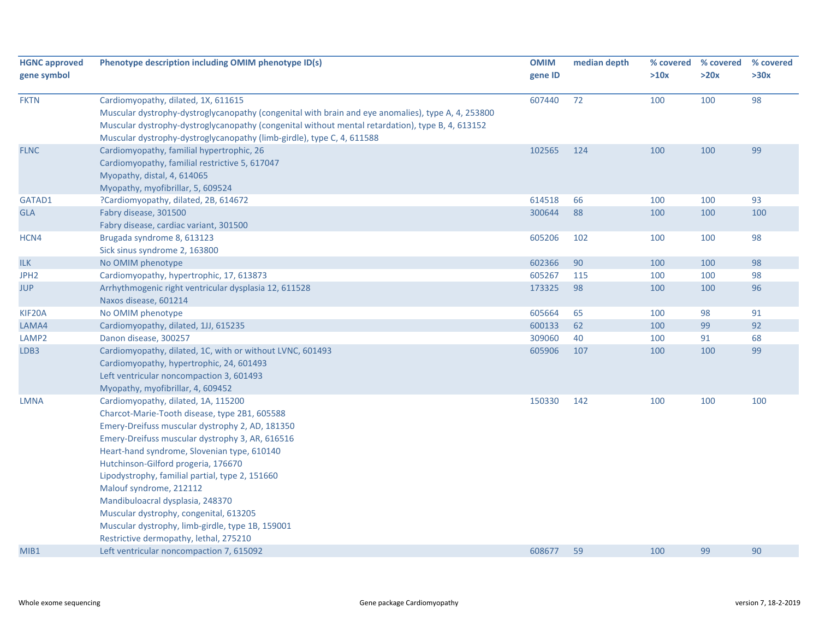| <b>HGNC approved</b><br>gene symbol | Phenotype description including OMIM phenotype ID(s)                                                                                                                                                                                                                                                                                                                                                                                                                                                                                       | <b>OMIM</b><br>gene ID | median depth | % covered<br>>10x | % covered<br>>20x | % covered<br>>30x |
|-------------------------------------|--------------------------------------------------------------------------------------------------------------------------------------------------------------------------------------------------------------------------------------------------------------------------------------------------------------------------------------------------------------------------------------------------------------------------------------------------------------------------------------------------------------------------------------------|------------------------|--------------|-------------------|-------------------|-------------------|
| <b>FKTN</b>                         | Cardiomyopathy, dilated, 1X, 611615<br>Muscular dystrophy-dystroglycanopathy (congenital with brain and eye anomalies), type A, 4, 253800<br>Muscular dystrophy-dystroglycanopathy (congenital without mental retardation), type B, 4, 613152<br>Muscular dystrophy-dystroglycanopathy (limb-girdle), type C, 4, 611588                                                                                                                                                                                                                    | 607440                 | 72           | 100               | 100               | 98                |
| <b>FLNC</b>                         | Cardiomyopathy, familial hypertrophic, 26<br>Cardiomyopathy, familial restrictive 5, 617047<br>Myopathy, distal, 4, 614065<br>Myopathy, myofibrillar, 5, 609524                                                                                                                                                                                                                                                                                                                                                                            | 102565                 | 124          | 100               | 100               | 99                |
| GATAD1                              | ?Cardiomyopathy, dilated, 2B, 614672                                                                                                                                                                                                                                                                                                                                                                                                                                                                                                       | 614518                 | 66           | 100               | 100               | 93                |
| <b>GLA</b>                          | Fabry disease, 301500<br>Fabry disease, cardiac variant, 301500                                                                                                                                                                                                                                                                                                                                                                                                                                                                            | 300644                 | 88           | 100               | 100               | 100               |
| HCN4                                | Brugada syndrome 8, 613123<br>Sick sinus syndrome 2, 163800                                                                                                                                                                                                                                                                                                                                                                                                                                                                                | 605206                 | 102          | 100               | 100               | 98                |
| <b>ILK</b>                          | No OMIM phenotype                                                                                                                                                                                                                                                                                                                                                                                                                                                                                                                          | 602366                 | 90           | 100               | 100               | 98                |
| JPH <sub>2</sub>                    | Cardiomyopathy, hypertrophic, 17, 613873                                                                                                                                                                                                                                                                                                                                                                                                                                                                                                   | 605267                 | 115          | 100               | 100               | 98                |
| <b>JUP</b>                          | Arrhythmogenic right ventricular dysplasia 12, 611528<br>Naxos disease, 601214                                                                                                                                                                                                                                                                                                                                                                                                                                                             | 173325                 | 98           | 100               | 100               | 96                |
| KIF20A                              | No OMIM phenotype                                                                                                                                                                                                                                                                                                                                                                                                                                                                                                                          | 605664                 | 65           | 100               | 98                | 91                |
| LAMA4                               | Cardiomyopathy, dilated, 1JJ, 615235                                                                                                                                                                                                                                                                                                                                                                                                                                                                                                       | 600133                 | 62           | 100               | 99                | 92                |
| LAMP <sub>2</sub>                   | Danon disease, 300257                                                                                                                                                                                                                                                                                                                                                                                                                                                                                                                      | 309060                 | 40           | 100               | 91                | 68                |
| LDB3                                | Cardiomyopathy, dilated, 1C, with or without LVNC, 601493<br>Cardiomyopathy, hypertrophic, 24, 601493<br>Left ventricular noncompaction 3, 601493<br>Myopathy, myofibrillar, 4, 609452                                                                                                                                                                                                                                                                                                                                                     | 605906                 | 107          | 100               | 100               | 99                |
| <b>LMNA</b>                         | Cardiomyopathy, dilated, 1A, 115200<br>Charcot-Marie-Tooth disease, type 2B1, 605588<br>Emery-Dreifuss muscular dystrophy 2, AD, 181350<br>Emery-Dreifuss muscular dystrophy 3, AR, 616516<br>Heart-hand syndrome, Slovenian type, 610140<br>Hutchinson-Gilford progeria, 176670<br>Lipodystrophy, familial partial, type 2, 151660<br>Malouf syndrome, 212112<br>Mandibuloacral dysplasia, 248370<br>Muscular dystrophy, congenital, 613205<br>Muscular dystrophy, limb-girdle, type 1B, 159001<br>Restrictive dermopathy, lethal, 275210 | 150330                 | 142          | 100               | 100               | 100               |
| MIB1                                | Left ventricular noncompaction 7, 615092                                                                                                                                                                                                                                                                                                                                                                                                                                                                                                   | 608677                 | 59           | 100               | 99                | 90                |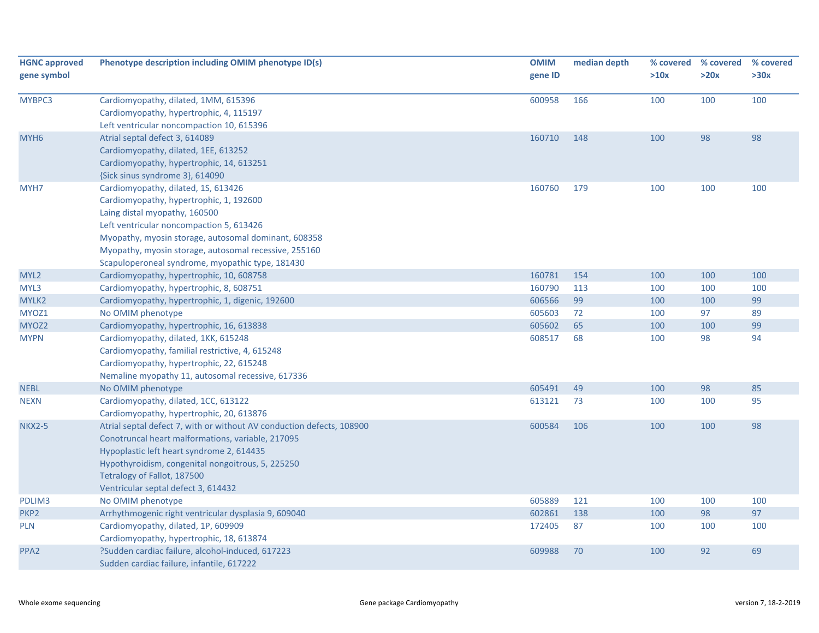| <b>HGNC approved</b><br>gene symbol | Phenotype description including OMIM phenotype ID(s)                  | <b>OMIM</b><br>gene ID | median depth | % covered<br>>10x | % covered<br>>20x | % covered<br>>30x |
|-------------------------------------|-----------------------------------------------------------------------|------------------------|--------------|-------------------|-------------------|-------------------|
|                                     |                                                                       |                        |              |                   |                   |                   |
| MYBPC3                              | Cardiomyopathy, dilated, 1MM, 615396                                  | 600958                 | 166          | 100               | 100               | 100               |
|                                     | Cardiomyopathy, hypertrophic, 4, 115197                               |                        |              |                   |                   |                   |
|                                     | Left ventricular noncompaction 10, 615396                             |                        |              |                   |                   |                   |
| MYH <sub>6</sub>                    | Atrial septal defect 3, 614089                                        | 160710                 | 148          | 100               | 98                | 98                |
|                                     | Cardiomyopathy, dilated, 1EE, 613252                                  |                        |              |                   |                   |                   |
|                                     | Cardiomyopathy, hypertrophic, 14, 613251                              |                        |              |                   |                   |                   |
|                                     | {Sick sinus syndrome 3}, 614090                                       |                        |              |                   |                   |                   |
| MYH7                                | Cardiomyopathy, dilated, 1S, 613426                                   | 160760                 | 179          | 100               | 100               | 100               |
|                                     | Cardiomyopathy, hypertrophic, 1, 192600                               |                        |              |                   |                   |                   |
|                                     | Laing distal myopathy, 160500                                         |                        |              |                   |                   |                   |
|                                     | Left ventricular noncompaction 5, 613426                              |                        |              |                   |                   |                   |
|                                     | Myopathy, myosin storage, autosomal dominant, 608358                  |                        |              |                   |                   |                   |
|                                     | Myopathy, myosin storage, autosomal recessive, 255160                 |                        |              |                   |                   |                   |
|                                     | Scapuloperoneal syndrome, myopathic type, 181430                      |                        |              |                   |                   |                   |
| MYL2                                | Cardiomyopathy, hypertrophic, 10, 608758                              | 160781                 | 154          | 100               | 100               | 100               |
| MYL3                                | Cardiomyopathy, hypertrophic, 8, 608751                               | 160790                 | 113          | 100               | 100               | 100               |
| MYLK2                               | Cardiomyopathy, hypertrophic, 1, digenic, 192600                      | 606566                 | 99           | 100               | 100               | 99                |
| MYOZ1                               | No OMIM phenotype                                                     | 605603                 | 72           | 100               | 97                | 89                |
| MYOZ2                               | Cardiomyopathy, hypertrophic, 16, 613838                              | 605602                 | 65           | 100               | 100               | 99                |
| <b>MYPN</b>                         | Cardiomyopathy, dilated, 1KK, 615248                                  | 608517                 | 68           | 100               | 98                | 94                |
|                                     | Cardiomyopathy, familial restrictive, 4, 615248                       |                        |              |                   |                   |                   |
|                                     | Cardiomyopathy, hypertrophic, 22, 615248                              |                        |              |                   |                   |                   |
|                                     | Nemaline myopathy 11, autosomal recessive, 617336                     |                        |              |                   |                   |                   |
| <b>NEBL</b>                         | No OMIM phenotype                                                     | 605491                 | 49           | 100               | 98                | 85                |
| <b>NEXN</b>                         | Cardiomyopathy, dilated, 1CC, 613122                                  | 613121                 | 73           | 100               | 100               | 95                |
|                                     | Cardiomyopathy, hypertrophic, 20, 613876                              |                        |              |                   |                   |                   |
| <b>NKX2-5</b>                       | Atrial septal defect 7, with or without AV conduction defects, 108900 | 600584                 | 106          | 100               | 100               | 98                |
|                                     | Conotruncal heart malformations, variable, 217095                     |                        |              |                   |                   |                   |
|                                     | Hypoplastic left heart syndrome 2, 614435                             |                        |              |                   |                   |                   |
|                                     | Hypothyroidism, congenital nongoitrous, 5, 225250                     |                        |              |                   |                   |                   |
|                                     | Tetralogy of Fallot, 187500                                           |                        |              |                   |                   |                   |
|                                     | Ventricular septal defect 3, 614432                                   |                        |              |                   |                   |                   |
| PDLIM3                              | No OMIM phenotype                                                     | 605889                 | 121          | 100               | 100               | 100               |
| PKP <sub>2</sub>                    | Arrhythmogenic right ventricular dysplasia 9, 609040                  | 602861                 | 138          | 100               | 98                | 97                |
| <b>PLN</b>                          | Cardiomyopathy, dilated, 1P, 609909                                   | 172405                 | 87           | 100               | 100               | 100               |
|                                     | Cardiomyopathy, hypertrophic, 18, 613874                              |                        |              |                   |                   |                   |
| PPA <sub>2</sub>                    | ?Sudden cardiac failure, alcohol-induced, 617223                      | 609988                 | 70           | 100               | 92                | 69                |
|                                     | Sudden cardiac failure, infantile, 617222                             |                        |              |                   |                   |                   |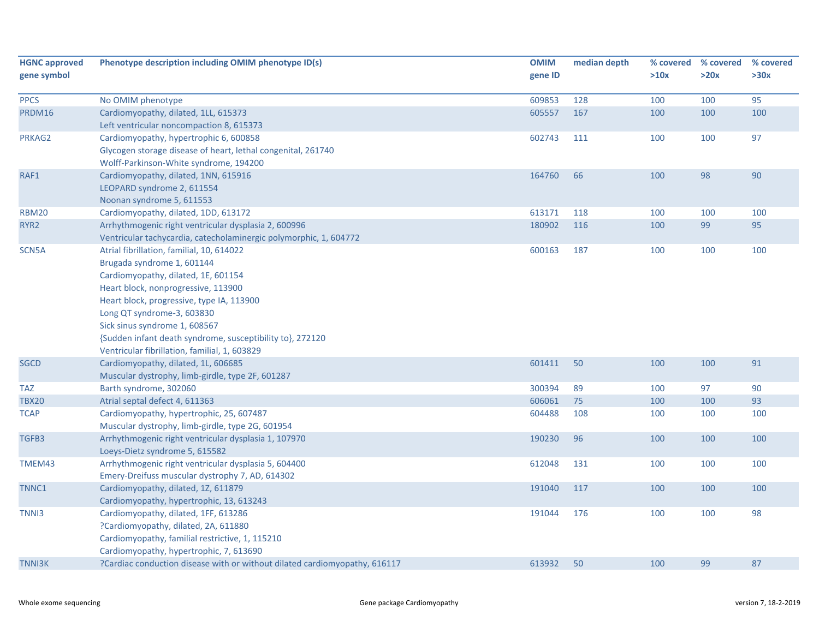| <b>HGNC approved</b> | Phenotype description including OMIM phenotype ID(s)                       | <b>OMIM</b> | median depth | % covered | % covered | % covered |
|----------------------|----------------------------------------------------------------------------|-------------|--------------|-----------|-----------|-----------|
| gene symbol          |                                                                            | gene ID     |              | >10x      | >20x      | >30x      |
|                      |                                                                            |             |              |           |           |           |
| <b>PPCS</b>          | No OMIM phenotype                                                          | 609853      | 128          | 100       | 100       | 95        |
| PRDM16               | Cardiomyopathy, dilated, 1LL, 615373                                       | 605557      | 167          | 100       | 100       | 100       |
|                      | Left ventricular noncompaction 8, 615373                                   |             |              |           |           |           |
| PRKAG2               | Cardiomyopathy, hypertrophic 6, 600858                                     | 602743      | 111          | 100       | 100       | 97        |
|                      | Glycogen storage disease of heart, lethal congenital, 261740               |             |              |           |           |           |
|                      | Wolff-Parkinson-White syndrome, 194200                                     |             |              |           |           |           |
| RAF1                 | Cardiomyopathy, dilated, 1NN, 615916                                       | 164760      | 66           | 100       | 98        | 90        |
|                      | LEOPARD syndrome 2, 611554                                                 |             |              |           |           |           |
|                      | Noonan syndrome 5, 611553                                                  |             |              |           |           |           |
| <b>RBM20</b>         | Cardiomyopathy, dilated, 1DD, 613172                                       | 613171      | 118          | 100       | 100       | 100       |
| RYR <sub>2</sub>     | Arrhythmogenic right ventricular dysplasia 2, 600996                       | 180902      | 116          | 100       | 99        | 95        |
|                      | Ventricular tachycardia, catecholaminergic polymorphic, 1, 604772          |             |              |           |           |           |
| SCN5A                | Atrial fibrillation, familial, 10, 614022                                  | 600163      | 187          | 100       | 100       | 100       |
|                      | Brugada syndrome 1, 601144                                                 |             |              |           |           |           |
|                      | Cardiomyopathy, dilated, 1E, 601154                                        |             |              |           |           |           |
|                      | Heart block, nonprogressive, 113900                                        |             |              |           |           |           |
|                      | Heart block, progressive, type IA, 113900                                  |             |              |           |           |           |
|                      | Long QT syndrome-3, 603830                                                 |             |              |           |           |           |
|                      | Sick sinus syndrome 1, 608567                                              |             |              |           |           |           |
|                      | {Sudden infant death syndrome, susceptibility to}, 272120                  |             |              |           |           |           |
|                      | Ventricular fibrillation, familial, 1, 603829                              |             |              |           |           |           |
| <b>SGCD</b>          | Cardiomyopathy, dilated, 1L, 606685                                        | 601411      | 50           | 100       | 100       | 91        |
|                      | Muscular dystrophy, limb-girdle, type 2F, 601287                           |             |              |           |           |           |
| TAZ                  | Barth syndrome, 302060                                                     | 300394      | 89           | 100       | 97        | 90        |
| <b>TBX20</b>         | Atrial septal defect 4, 611363                                             | 606061      | 75           | 100       | 100       | 93        |
| <b>TCAP</b>          | Cardiomyopathy, hypertrophic, 25, 607487                                   | 604488      | 108          | 100       | 100       | 100       |
|                      | Muscular dystrophy, limb-girdle, type 2G, 601954                           |             |              |           |           |           |
| TGFB3                | Arrhythmogenic right ventricular dysplasia 1, 107970                       | 190230      | 96           | 100       | 100       | 100       |
|                      | Loeys-Dietz syndrome 5, 615582                                             |             |              |           |           |           |
| TMEM43               | Arrhythmogenic right ventricular dysplasia 5, 604400                       | 612048      | 131          | 100       | 100       | 100       |
|                      | Emery-Dreifuss muscular dystrophy 7, AD, 614302                            |             |              |           |           |           |
| TNNC1                | Cardiomyopathy, dilated, 1Z, 611879                                        | 191040      | 117          | 100       | 100       | 100       |
|                      | Cardiomyopathy, hypertrophic, 13, 613243                                   |             |              |           |           |           |
| TNN <sub>13</sub>    | Cardiomyopathy, dilated, 1FF, 613286                                       | 191044      | 176          | 100       | 100       | 98        |
|                      | ?Cardiomyopathy, dilated, 2A, 611880                                       |             |              |           |           |           |
|                      | Cardiomyopathy, familial restrictive, 1, 115210                            |             |              |           |           |           |
|                      | Cardiomyopathy, hypertrophic, 7, 613690                                    |             |              |           |           |           |
| <b>TNNI3K</b>        | ?Cardiac conduction disease with or without dilated cardiomyopathy, 616117 | 613932      | 50           | 100       | 99        | 87        |